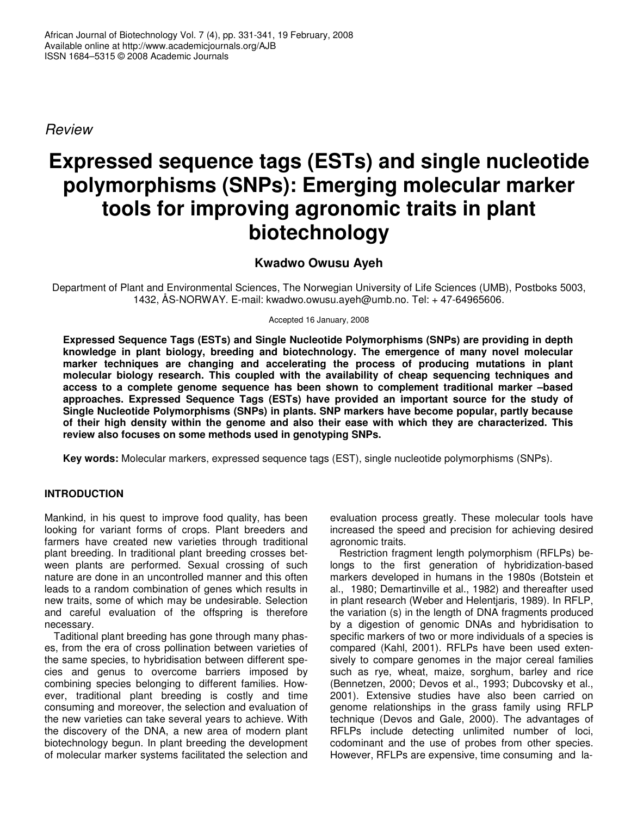*Review*

# **Expressed sequence tags (ESTs) and single nucleotide polymorphisms (SNPs): Emerging molecular marker tools for improving agronomic traits in plant biotechnology**

# **Kwadwo Owusu Ayeh**

Department of Plant and Environmental Sciences, The Norwegian University of Life Sciences (UMB), Postboks 5003, 1432, ÅS-NORWAY. E-mail: kwadwo.owusu.ayeh@umb.no. Tel: + 47-64965606.

Accepted 16 January, 2008

**Expressed Sequence Tags (ESTs) and Single Nucleotide Polymorphisms (SNPs) are providing in depth knowledge in plant biology, breeding and biotechnology. The emergence of many novel molecular marker techniques are changing and accelerating the process of producing mutations in plant molecular biology research. This coupled with the availability of cheap sequencing techniques and access to a complete genome sequence has been shown to complement traditional marker –based approaches. Expressed Sequence Tags (ESTs) have provided an important source for the study of Single Nucleotide Polymorphisms (SNPs) in plants. SNP markers have become popular, partly because of their high density within the genome and also their ease with which they are characterized. This review also focuses on some methods used in genotyping SNPs.**

**Key words:** Molecular markers, expressed sequence tags (EST), single nucleotide polymorphisms (SNPs).

# **INTRODUCTION**

Mankind, in his quest to improve food quality, has been looking for variant forms of crops. Plant breeders and farmers have created new varieties through traditional plant breeding. In traditional plant breeding crosses between plants are performed. Sexual crossing of such nature are done in an uncontrolled manner and this often leads to a random combination of genes which results in new traits, some of which may be undesirable. Selection and careful evaluation of the offspring is therefore necessary.

Taditional plant breeding has gone through many phases, from the era of cross pollination between varieties of the same species, to hybridisation between different species and genus to overcome barriers imposed by combining species belonging to different families. However, traditional plant breeding is costly and time consuming and moreover, the selection and evaluation of the new varieties can take several years to achieve. With the discovery of the DNA, a new area of modern plant biotechnology begun. In plant breeding the development of molecular marker systems facilitated the selection and evaluation process greatly. These molecular tools have increased the speed and precision for achieving desired agronomic traits.

Restriction fragment length polymorphism (RFLPs) belongs to the first generation of hybridization-based markers developed in humans in the 1980s (Botstein et al., 1980; Demartinville et al., 1982) and thereafter used in plant research (Weber and Helentjaris, 1989). In RFLP, the variation (s) in the length of DNA fragments produced by a digestion of genomic DNAs and hybridisation to specific markers of two or more individuals of a species is compared (Kahl, 2001). RFLPs have been used extensively to compare genomes in the major cereal families such as rye, wheat, maize, sorghum, barley and rice (Bennetzen, 2000; Devos et al., 1993; Dubcovsky et al., 2001). Extensive studies have also been carried on genome relationships in the grass family using RFLP technique (Devos and Gale, 2000). The advantages of RFLPs include detecting unlimited number of loci, codominant and the use of probes from other species. However, RFLPs are expensive, time consuming and la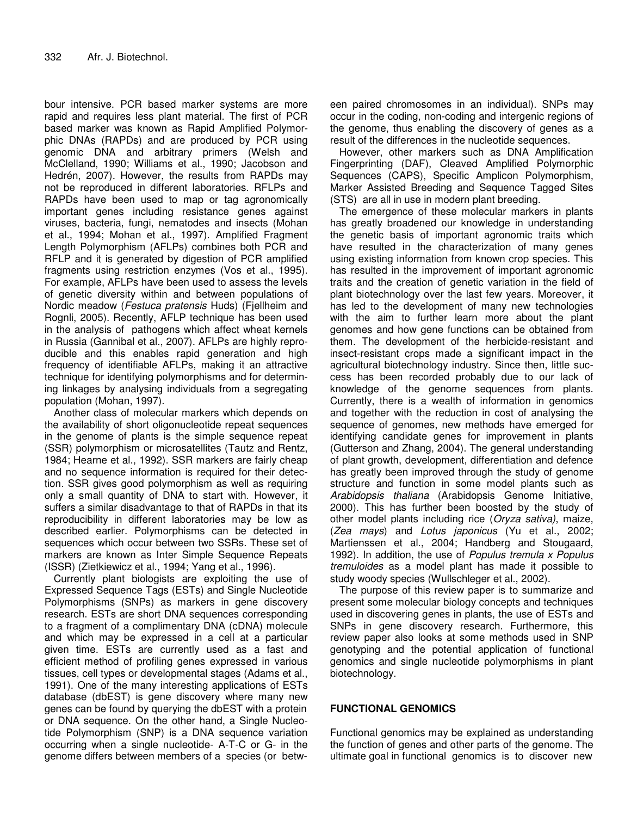bour intensive. PCR based marker systems are more rapid and requires less plant material. The first of PCR based marker was known as Rapid Amplified Polymorphic DNAs (RAPDs) and are produced by PCR using genomic DNA and arbitrary primers (Welsh and McClelland, 1990; Williams et al., 1990; Jacobson and Hedrén, 2007). However, the results from RAPDs may not be reproduced in different laboratories. RFLPs and RAPDs have been used to map or tag agronomically important genes including resistance genes against viruses, bacteria, fungi, nematodes and insects (Mohan et al., 1994; Mohan et al., 1997). Amplified Fragment Length Polymorphism (AFLPs) combines both PCR and RFLP and it is generated by digestion of PCR amplified fragments using restriction enzymes (Vos et al., 1995). For example, AFLPs have been used to assess the levels of genetic diversity within and between populations of Nordic meadow (*Festuca pratensis* Huds) (Fjellheim and Rognli, 2005). Recently, AFLP technique has been used in the analysis of pathogens which affect wheat kernels in Russia (Gannibal et al., 2007). AFLPs are highly reproducible and this enables rapid generation and high frequency of identifiable AFLPs, making it an attractive technique for identifying polymorphisms and for determining linkages by analysing individuals from a segregating population (Mohan, 1997).

Another class of molecular markers which depends on the availability of short oligonucleotide repeat sequences in the genome of plants is the simple sequence repeat (SSR) polymorphism or microsatellites (Tautz and Rentz, 1984; Hearne et al., 1992). SSR markers are fairly cheap and no sequence information is required for their detection. SSR gives good polymorphism as well as requiring only a small quantity of DNA to start with. However, it suffers a similar disadvantage to that of RAPDs in that its reproducibility in different laboratories may be low as described earlier. Polymorphisms can be detected in sequences which occur between two SSRs. These set of markers are known as Inter Simple Sequence Repeats (ISSR) (Zietkiewicz et al., 1994; Yang et al., 1996).

Currently plant biologists are exploiting the use of Expressed Sequence Tags (ESTs) and Single Nucleotide Polymorphisms (SNPs) as markers in gene discovery research. ESTs are short DNA sequences corresponding to a fragment of a complimentary DNA (cDNA) molecule and which may be expressed in a cell at a particular given time. ESTs are currently used as a fast and efficient method of profiling genes expressed in various tissues, cell types or developmental stages (Adams et al., 1991). One of the many interesting applications of ESTs database (dbEST) is gene discovery where many new genes can be found by querying the dbEST with a protein or DNA sequence. On the other hand, a Single Nucleotide Polymorphism (SNP) is a DNA sequence variation occurring when a single nucleotide- A-T-C or G- in the genome differs between members of a species (or between paired chromosomes in an individual). SNPs may occur in the coding, non-coding and intergenic regions of the genome, thus enabling the discovery of genes as a result of the differences in the nucleotide sequences.

However, other markers such as DNA Amplification Fingerprinting (DAF), Cleaved Amplified Polymorphic Sequences (CAPS), Specific Amplicon Polymorphism, Marker Assisted Breeding and Sequence Tagged Sites (STS) are all in use in modern plant breeding.

The emergence of these molecular markers in plants has greatly broadened our knowledge in understanding the genetic basis of important agronomic traits which have resulted in the characterization of many genes using existing information from known crop species. This has resulted in the improvement of important agronomic traits and the creation of genetic variation in the field of plant biotechnology over the last few years. Moreover, it has led to the development of many new technologies with the aim to further learn more about the plant genomes and how gene functions can be obtained from them. The development of the herbicide-resistant and insect-resistant crops made a significant impact in the agricultural biotechnology industry. Since then, little success has been recorded probably due to our lack of knowledge of the genome sequences from plants. Currently, there is a wealth of information in genomics and together with the reduction in cost of analysing the sequence of genomes, new methods have emerged for identifying candidate genes for improvement in plants (Gutterson and Zhang, 2004). The general understanding of plant growth, development, differentiation and defence has greatly been improved through the study of genome structure and function in some model plants such as *Arabidopsis thaliana* (Arabidopsis Genome Initiative, 2000). This has further been boosted by the study of other model plants including rice (*Oryza sativa)*, maize, (*Zea mays*) and *Lotus japonicus* (Yu et al., 2002; Martienssen et al., 2004; Handberg and Stougaard, 1992). In addition, the use of *Populus tremula x Populus tremuloides* as a model plant has made it possible to study woody species (Wullschleger et al., 2002).

The purpose of this review paper is to summarize and present some molecular biology concepts and techniques used in discovering genes in plants, the use of ESTs and SNPs in gene discovery research. Furthermore, this review paper also looks at some methods used in SNP genotyping and the potential application of functional genomics and single nucleotide polymorphisms in plant biotechnology.

#### **FUNCTIONAL GENOMICS**

Functional genomics may be explained as understanding the function of genes and other parts of the genome. The ultimate goal in functional genomics is to discover new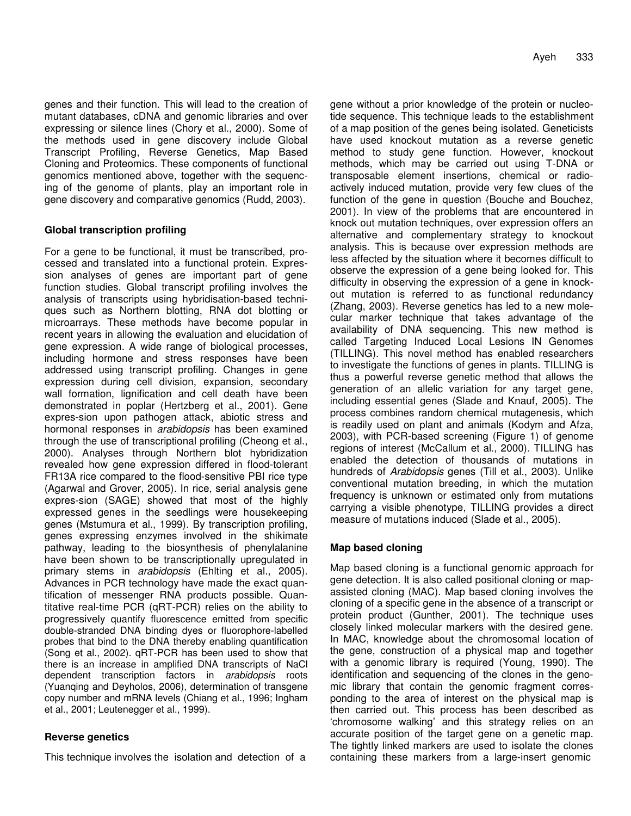genes and their function. This will lead to the creation of mutant databases, cDNA and genomic libraries and over expressing or silence lines (Chory et al., 2000). Some of the methods used in gene discovery include Global Transcript Profiling, Reverse Genetics, Map Based Cloning and Proteomics. These components of functional genomics mentioned above, together with the sequencing of the genome of plants, play an important role in gene discovery and comparative genomics (Rudd, 2003).

# **Global transcription profiling**

For a gene to be functional, it must be transcribed, processed and translated into a functional protein. Expression analyses of genes are important part of gene function studies. Global transcript profiling involves the analysis of transcripts using hybridisation-based techniques such as Northern blotting, RNA dot blotting or microarrays. These methods have become popular in recent years in allowing the evaluation and elucidation of gene expression. A wide range of biological processes, including hormone and stress responses have been addressed using transcript profiling. Changes in gene expression during cell division, expansion, secondary wall formation, lignification and cell death have been demonstrated in poplar (Hertzberg et al., 2001). Gene expres-sion upon pathogen attack, abiotic stress and hormonal responses in *arabidopsis* has been examined through the use of transcriptional profiling (Cheong et al., 2000). Analyses through Northern blot hybridization revealed how gene expression differed in flood-tolerant FR13A rice compared to the flood-sensitive PBI rice type (Agarwal and Grover, 2005). In rice, serial analysis gene expres-sion (SAGE) showed that most of the highly expressed genes in the seedlings were housekeeping genes (Mstumura et al., 1999). By transcription profiling, genes expressing enzymes involved in the shikimate pathway, leading to the biosynthesis of phenylalanine have been shown to be transcriptionally upregulated in primary stems in *arabidopsis* (Ehlting et al., 2005). Advances in PCR technology have made the exact quantification of messenger RNA products possible. Quantitative real-time PCR (qRT-PCR) relies on the ability to progressively quantify fluorescence emitted from specific double-stranded DNA binding dyes or fluorophore-labelled probes that bind to the DNA thereby enabling quantification (Song et al., 2002). qRT-PCR has been used to show that there is an increase in amplified DNA transcripts of NaCl dependent transcription factors in *arabidopsis* roots (Yuanqing and Deyholos, 2006), determination of transgene copy number and mRNA levels (Chiang et al., 1996; Ingham et al., 2001; Leutenegger et al., 1999).

# **Reverse genetics**

This technique involves the isolation and detection of a

gene without a prior knowledge of the protein or nucleotide sequence. This technique leads to the establishment of a map position of the genes being isolated. Geneticists have used knockout mutation as a reverse genetic method to study gene function. However, knockout methods, which may be carried out using T-DNA or transposable element insertions, chemical or radioactively induced mutation, provide very few clues of the function of the gene in question (Bouche and Bouchez, 2001). In view of the problems that are encountered in knock out mutation techniques, over expression offers an alternative and complementary strategy to knockout analysis. This is because over expression methods are less affected by the situation where it becomes difficult to observe the expression of a gene being looked for. This difficulty in observing the expression of a gene in knockout mutation is referred to as functional redundancy (Zhang, 2003). Reverse genetics has led to a new molecular marker technique that takes advantage of the availability of DNA sequencing. This new method is called Targeting Induced Local Lesions IN Genomes (TILLING). This novel method has enabled researchers to investigate the functions of genes in plants. TILLING is thus a powerful reverse genetic method that allows the generation of an allelic variation for any target gene, including essential genes (Slade and Knauf, 2005). The process combines random chemical mutagenesis, which is readily used on plant and animals (Kodym and Afza, 2003), with PCR-based screening (Figure 1) of genome regions of interest (McCallum et al., 2000). TILLING has enabled the detection of thousands of mutations in hundreds of *Arabidopsis* genes (Till et al., 2003). Unlike conventional mutation breeding, in which the mutation frequency is unknown or estimated only from mutations carrying a visible phenotype, TILLING provides a direct measure of mutations induced (Slade et al., 2005).

# **Map based cloning**

Map based cloning is a functional genomic approach for gene detection. It is also called positional cloning or mapassisted cloning (MAC). Map based cloning involves the cloning of a specific gene in the absence of a transcript or protein product (Gunther, 2001). The technique uses closely linked molecular markers with the desired gene. In MAC, knowledge about the chromosomal location of the gene, construction of a physical map and together with a genomic library is required (Young, 1990). The identification and sequencing of the clones in the genomic library that contain the genomic fragment corresponding to the area of interest on the physical map is then carried out. This process has been described as 'chromosome walking' and this strategy relies on an accurate position of the target gene on a genetic map. The tightly linked markers are used to isolate the clones containing these markers from a large-insert genomic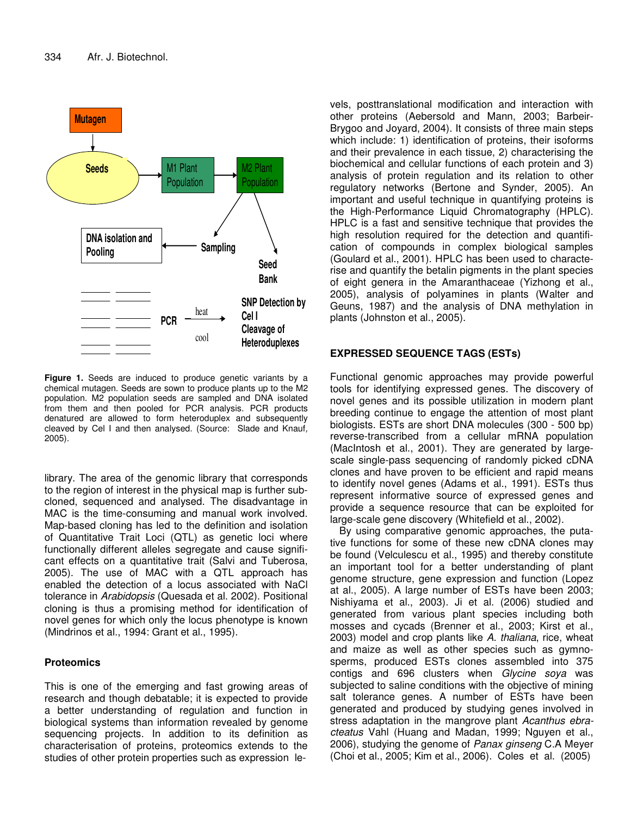

**Figure 1.** Seeds are induced to produce genetic variants by a chemical mutagen. Seeds are sown to produce plants up to the M2 population. M2 population seeds are sampled and DNA isolated from them and then pooled for PCR analysis. PCR products denatured are allowed to form heteroduplex and subsequently cleaved by Cel I and then analysed. (Source: Slade and Knauf*,* 2005).

library. The area of the genomic library that corresponds to the region of interest in the physical map is further subcloned, sequenced and analysed. The disadvantage in MAC is the time-consuming and manual work involved. Map-based cloning has led to the definition and isolation of Quantitative Trait Loci (QTL) as genetic loci where functionally different alleles segregate and cause significant effects on a quantitative trait (Salvi and Tuberosa, 2005). The use of MAC with a QTL approach has enabled the detection of a locus associated with NaCl tolerance in *Arabidopsis* (Quesada et al. 2002). Positional cloning is thus a promising method for identification of novel genes for which only the locus phenotype is known (Mindrinos et al., 1994: Grant et al., 1995).

#### **Proteomics**

This is one of the emerging and fast growing areas of research and though debatable; it is expected to provide a better understanding of regulation and function in biological systems than information revealed by genome sequencing projects. In addition to its definition as characterisation of proteins, proteomics extends to the studies of other protein properties such as expression levels, posttranslational modification and interaction with other proteins (Aebersold and Mann, 2003; Barbeir-Brygoo and Joyard, 2004). It consists of three main steps which include: 1) identification of proteins, their isoforms and their prevalence in each tissue, 2) characterising the biochemical and cellular functions of each protein and 3) analysis of protein regulation and its relation to other regulatory networks (Bertone and Synder, 2005). An important and useful technique in quantifying proteins is the High-Performance Liquid Chromatography (HPLC). HPLC is a fast and sensitive technique that provides the high resolution required for the detection and quantification of compounds in complex biological samples (Goulard et al., 2001). HPLC has been used to characterise and quantify the betalin pigments in the plant species of eight genera in the Amaranthaceae (Yizhong et al., 2005), analysis of polyamines in plants (Walter and Geuns, 1987) and the analysis of DNA methylation in plants (Johnston et al., 2005).

### **EXPRESSED SEQUENCE TAGS (ESTs)**

Functional genomic approaches may provide powerful tools for identifying expressed genes. The discovery of novel genes and its possible utilization in modern plant breeding continue to engage the attention of most plant biologists. ESTs are short DNA molecules (300 - 500 bp) reverse-transcribed from a cellular mRNA population (MacIntosh et al., 2001). They are generated by largescale single-pass sequencing of randomly picked cDNA clones and have proven to be efficient and rapid means to identify novel genes (Adams et al., 1991). ESTs thus represent informative source of expressed genes and provide a sequence resource that can be exploited for large-scale gene discovery (Whitefield et al., 2002).

By using comparative genomic approaches, the putative functions for some of these new cDNA clones may be found (Velculescu et al., 1995) and thereby constitute an important tool for a better understanding of plant genome structure, gene expression and function (Lopez at al., 2005). A large number of ESTs have been 2003; Nishiyama et al., 2003). Ji et al. (2006) studied and generated from various plant species including both mosses and cycads (Brenner et al., 2003; Kirst et al., 2003) model and crop plants like *A. thaliana*, rice, wheat and maize as well as other species such as gymnosperms, produced ESTs clones assembled into 375 contigs and 696 clusters when *Glycine soya* was subjected to saline conditions with the objective of mining salt tolerance genes. A number of ESTs have been generated and produced by studying genes involved in stress adaptation in the mangrove plant *Acanthus ebracteatus* Vahl (Huang and Madan, 1999; Nguyen et al., 2006), studying the genome of *Panax ginseng* C.A Meyer (Choi et al., 2005; Kim et al., 2006). Coles et al. (2005)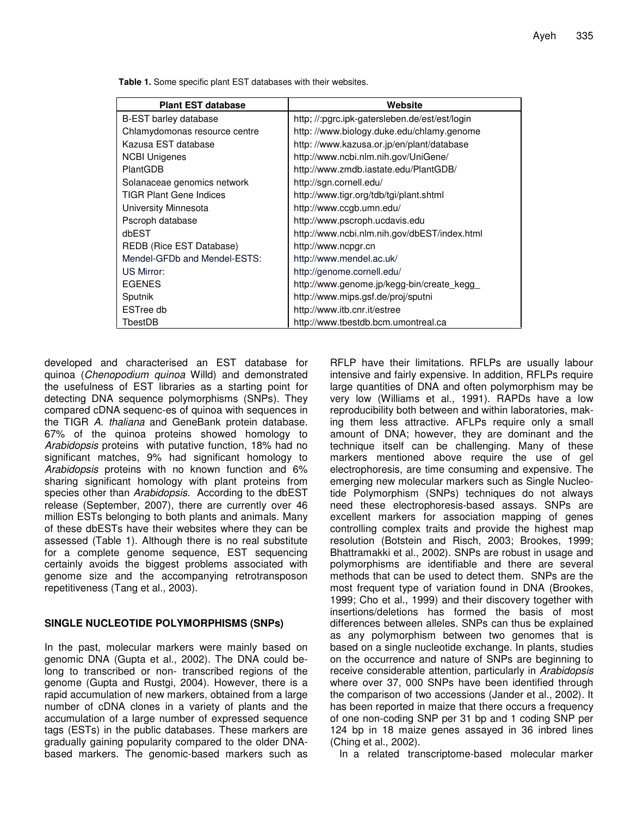**Table 1.** Some specific plant EST databases with their websites.

| <b>Plant EST database</b>      | Website                                        |
|--------------------------------|------------------------------------------------|
| <b>B-EST barley database</b>   | http; //:pgrc.ipk-gatersleben.de/est/est/login |
| Chlamydomonas resource centre  | http://www.biology.duke.edu/chlamy.genome      |
| Kazusa EST database            | http://www.kazusa.or.jp/en/plant/database      |
| <b>NCBI Unigenes</b>           | http://www.ncbi.nlm.nih.gov/UniGene/           |
| PlantGDB                       | http://www.zmdb.iastate.edu/PlantGDB/          |
| Solanaceae genomics network    | http://sgn.cornell.edu/                        |
| <b>TIGR Plant Gene Indices</b> | http://www.tigr.org/tdb/tgi/plant.shtml        |
| University Minnesota           | http://www.ccgb.umn.edu/                       |
| Pscroph database               | http://www.pscroph.ucdavis.edu                 |
| dbEST                          | http://www.ncbi.nlm.nih.gov/dbEST/index.html   |
| REDB (Rice EST Database)       | http://www.ncpgr.cn                            |
| Mendel-GFDb and Mendel-ESTS:   | http://www.mendel.ac.uk/                       |
| US Mirror:                     | http://genome.cornell.edu/                     |
| <b>EGENES</b>                  | http://www.genome.jp/kegg-bin/create_kegg_     |
| Sputnik                        | http://www.mips.gsf.de/proj/sputni             |
| ESTree db                      | http://www.itb.cnr.it/estree                   |
| TbestDB                        | http://www.tbestdb.bcm.umontreal.ca            |

developed and characterised an EST database for quinoa (*Chenopodium quinoa* Willd) and demonstrated the usefulness of EST libraries as a starting point for detecting DNA sequence polymorphisms (SNPs). They compared cDNA sequenc-es of quinoa with sequences in the TIGR *A. thaliana* and GeneBank protein database. 67% of the quinoa proteins showed homology to *Arabidopsis* proteins with putative function, 18% had no significant matches, 9% had significant homology to *Arabidopsis* proteins with no known function and 6% sharing significant homology with plant proteins from species other than *Arabidopsis.* According to the dbEST release (September, 2007), there are currently over 46 million ESTs belonging to both plants and animals. Many of these dbESTs have their websites where they can be assessed (Table 1). Although there is no real substitute for a complete genome sequence, EST sequencing certainly avoids the biggest problems associated with genome size and the accompanying retrotransposon repetitiveness (Tang et al., 2003).

#### **SINGLE NUCLEOTIDE POLYMORPHISMS (SNPs)**

In the past, molecular markers were mainly based on genomic DNA (Gupta et al., 2002). The DNA could belong to transcribed or non- transcribed regions of the genome (Gupta and Rustgi, 2004). However, there is a rapid accumulation of new markers, obtained from a large number of cDNA clones in a variety of plants and the accumulation of a large number of expressed sequence tags (ESTs) in the public databases. These markers are gradually gaining popularity compared to the older DNAbased markers. The genomic-based markers such as

RFLP have their limitations. RFLPs are usually labour intensive and fairly expensive. In addition, RFLPs require large quantities of DNA and often polymorphism may be very low (Williams et al., 1991). RAPDs have a low reproducibility both between and within laboratories, making them less attractive. AFLPs require only a small amount of DNA; however, they are dominant and the technique itself can be challenging. Many of these markers mentioned above require the use of gel electrophoresis, are time consuming and expensive. The emerging new molecular markers such as Single Nucleotide Polymorphism (SNPs) techniques do not always need these electrophoresis-based assays. SNPs are excellent markers for association mapping of genes controlling complex traits and provide the highest map resolution (Botstein and Risch, 2003; Brookes, 1999; Bhattramakki et al., 2002). SNPs are robust in usage and polymorphisms are identifiable and there are several methods that can be used to detect them. SNPs are the most frequent type of variation found in DNA (Brookes, 1999; Cho et al., 1999) and their discovery together with insertions/deletions has formed the basis of most differences between alleles. SNPs can thus be explained as any polymorphism between two genomes that is based on a single nucleotide exchange. In plants, studies on the occurrence and nature of SNPs are beginning to receive considerable attention, particularly in *Arabidopsis* where over 37, 000 SNPs have been identified through the comparison of two accessions (Jander et al., 2002). It has been reported in maize that there occurs a frequency of one non-coding SNP per 31 bp and 1 coding SNP per 124 bp in 18 maize genes assayed in 36 inbred lines (Ching et al., 2002).

In a related transcriptome-based molecular marker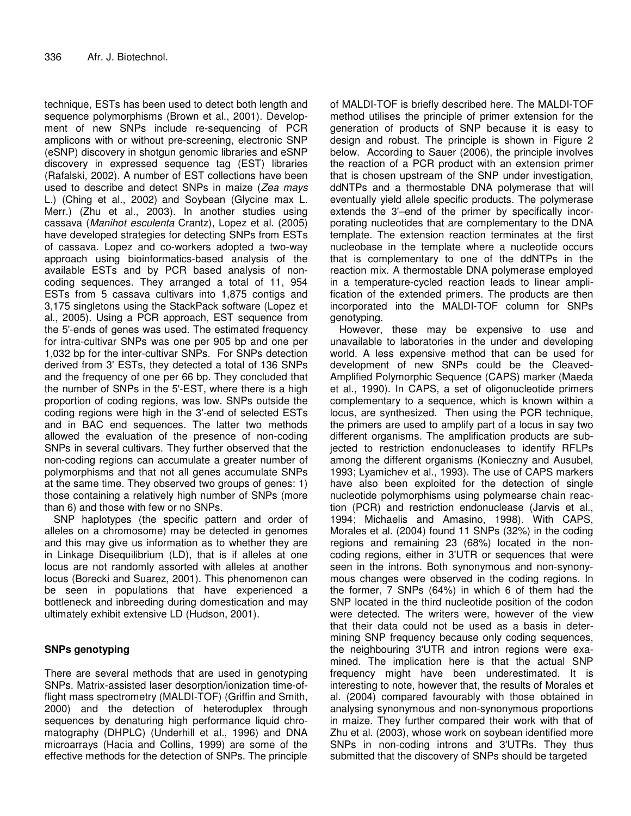technique, ESTs has been used to detect both length and sequence polymorphisms (Brown et al., 2001). Development of new SNPs include re-sequencing of PCR amplicons with or without pre-screening, electronic SNP (eSNP) discovery in shotgun genomic libraries and eSNP discovery in expressed sequence tag (EST) libraries (Rafalski, 2002). A number of EST collections have been used to describe and detect SNPs in maize (*Zea mays* L.) (Ching et al., 2002) and Soybean (Glycine max L. Merr.) (Zhu et al., 2003). In another studies using cassava (*Manihot esculenta* Crantz), Lopez et al. (2005) have developed strategies for detecting SNPs from ESTs of cassava. Lopez and co-workers adopted a two-way approach using bioinformatics-based analysis of the available ESTs and by PCR based analysis of noncoding sequences. They arranged a total of 11, 954 ESTs from 5 cassava cultivars into 1,875 contigs and 3,175 singletons using the StackPack software (Lopez et al., 2005). Using a PCR approach, EST sequence from the 5'-ends of genes was used. The estimated frequency for intra-cultivar SNPs was one per 905 bp and one per 1,032 bp for the inter-cultivar SNPs. For SNPs detection derived from 3' ESTs, they detected a total of 136 SNPs and the frequency of one per 66 bp. They concluded that the number of SNPs in the 5'-EST, where there is a high proportion of coding regions, was low. SNPs outside the coding regions were high in the 3'-end of selected ESTs and in BAC end sequences. The latter two methods allowed the evaluation of the presence of non-coding SNPs in several cultivars. They further observed that the non-coding regions can accumulate a greater number of polymorphisms and that not all genes accumulate SNPs at the same time. They observed two groups of genes: 1) those containing a relatively high number of SNPs (more than 6) and those with few or no SNPs.

SNP haplotypes (the specific pattern and order of alleles on a chromosome) may be detected in genomes and this may give us information as to whether they are in Linkage Disequilibrium (LD), that is if alleles at one locus are not randomly assorted with alleles at another locus (Borecki and Suarez, 2001). This phenomenon can be seen in populations that have experienced a bottleneck and inbreeding during domestication and may ultimately exhibit extensive LD (Hudson, 2001).

# **SNPs genotyping**

There are several methods that are used in genotyping SNPs. Matrix-assisted laser desorption/ionization time-offlight mass spectrometry (MALDI-TOF) (Griffin and Smith, 2000) and the detection of heteroduplex through sequences by denaturing high performance liquid chromatography (DHPLC) (Underhill et al., 1996) and DNA microarrays (Hacia and Collins, 1999) are some of the effective methods for the detection of SNPs. The principle

of MALDI-TOF is briefly described here. The MALDI-TOF method utilises the principle of primer extension for the generation of products of SNP because it is easy to design and robust. The principle is shown in Figure 2 below. According to Sauer (2006), the principle involves the reaction of a PCR product with an extension primer that is chosen upstream of the SNP under investigation, ddNTPs and a thermostable DNA polymerase that will eventually yield allele specific products. The polymerase extends the 3'–end of the primer by specifically incorporating nucleotides that are complementary to the DNA template. The extension reaction terminates at the first nucleobase in the template where a nucleotide occurs that is complementary to one of the ddNTPs in the reaction mix. A thermostable DNA polymerase employed in a temperature-cycled reaction leads to linear amplification of the extended primers. The products are then incorporated into the MALDI-TOF column for SNPs genotyping.

However, these may be expensive to use and unavailable to laboratories in the under and developing world. A less expensive method that can be used for development of new SNPs could be the Cleaved-Amplified Polymorphic Sequence (CAPS) marker (Maeda et al., 1990). In CAPS, a set of oligonucleotide primers complementary to a sequence, which is known within a locus, are synthesized. Then using the PCR technique, the primers are used to amplify part of a locus in say two different organisms. The amplification products are subjected to restriction endonucleases to identify RFLPs among the different organisms (Konieczny and Ausubel, 1993; Lyamichev et al., 1993). The use of CAPS markers have also been exploited for the detection of single nucleotide polymorphisms using polymearse chain reaction (PCR) and restriction endonuclease (Jarvis et al., 1994; Michaelis and Amasino, 1998). With CAPS, Morales et al. (2004) found 11 SNPs (32%) in the coding regions and remaining 23 (68%) located in the noncoding regions, either in 3'UTR or sequences that were seen in the introns. Both synonymous and non-synonymous changes were observed in the coding regions. In the former, 7 SNPs (64%) in which 6 of them had the SNP located in the third nucleotide position of the codon were detected. The writers were, however of the view that their data could not be used as a basis in determining SNP frequency because only coding sequences, the neighbouring 3'UTR and intron regions were examined. The implication here is that the actual SNP frequency might have been underestimated. It is interesting to note, however that, the results of Morales et al. (2004) compared favourably with those obtained in analysing synonymous and non-synonymous proportions in maize. They further compared their work with that of Zhu et al. (2003), whose work on soybean identified more SNPs in non-coding introns and 3'UTRs. They thus submitted that the discovery of SNPs should be targeted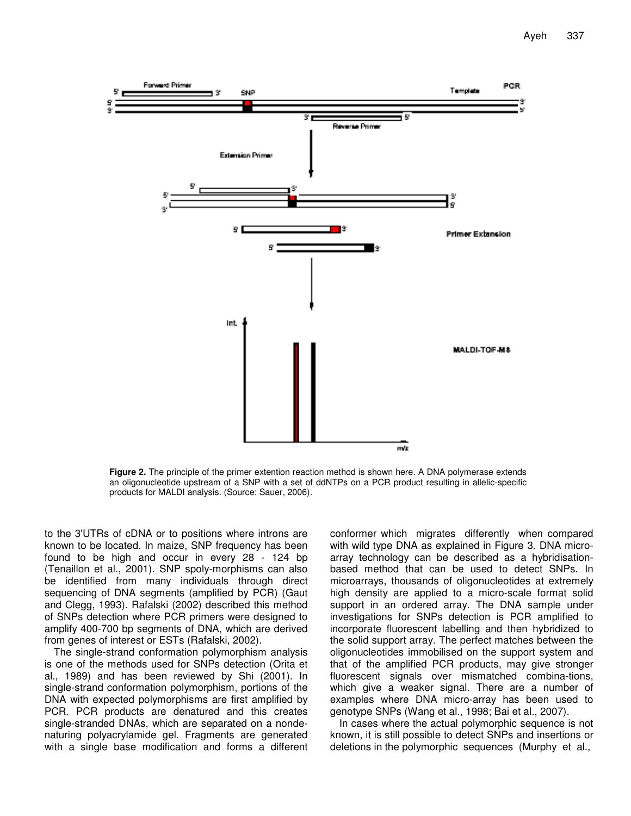

**Figure 2.** The principle of the primer extention reaction method is shown here. A DNA polymerase extends an oligonucleotide upstream of a SNP with a set of ddNTPs on a PCR product resulting in allelic-specific products for MALDI analysis. (Source: Sauer, 2006).

to the 3'UTRs of cDNA or to positions where introns are known to be located. In maize, SNP frequency has been found to be high and occur in every 28 - 124 bp (Tenaillon et al., 2001). SNP spoly-morphisms can also be identified from many individuals through direct sequencing of DNA segments (amplified by PCR) (Gaut and Clegg, 1993). Rafalski (2002) described this method of SNPs detection where PCR primers were designed to amplify 400-700 bp segments of DNA, which are derived from genes of interest or ESTs (Rafalski, 2002).

The single-strand conformation polymorphism analysis is one of the methods used for SNPs detection (Orita et al., 1989) and has been reviewed by Shi (2001). In single-strand conformation polymorphism, portions of the DNA with expected polymorphisms are first amplified by PCR. PCR products are denatured and this creates single-stranded DNAs, which are separated on a nondenaturing polyacrylamide gel. Fragments are generated with a single base modification and forms a different

conformer which migrates differently when compared with wild type DNA as explained in Figure 3. DNA microarray technology can be described as a hybridisationbased method that can be used to detect SNPs. In microarrays, thousands of oligonucleotides at extremely high density are applied to a micro-scale format solid support in an ordered array. The DNA sample under investigations for SNPs detection is PCR amplified to incorporate fluorescent labelling and then hybridized to the solid support array. The perfect matches between the oligonucleotides immobilised on the support system and that of the amplified PCR products, may give stronger fluorescent signals over mismatched combina-tions, which give a weaker signal. There are a number of examples where DNA micro-array has been used to genotype SNPs (Wang et al., 1998; Bai et al., 2007).

In cases where the actual polymorphic sequence is not known, it is still possible to detect SNPs and insertions or deletions in the polymorphic sequences (Murphy et al.,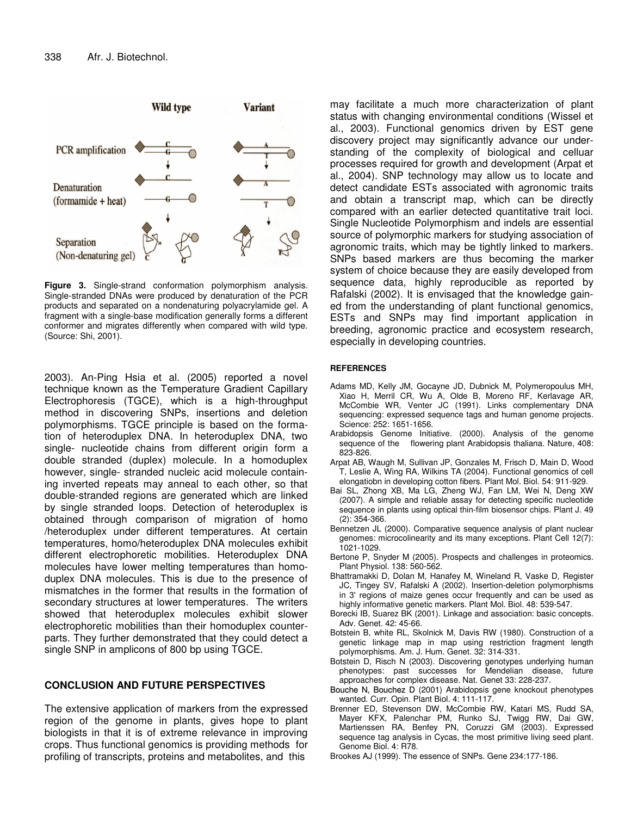

**Figure 3.** Single-strand conformation polymorphism analysis. Single-stranded DNAs were produced by denaturation of the PCR products and separated on a nondenaturing polyacrylamide gel. A fragment with a single-base modification generally forms a different conformer and migrates differently when compared with wild type. (Source: Shi, 2001).

2003). An-Ping Hsia et al. (2005) reported a novel technique known as the Temperature Gradient Capillary Electrophoresis (TGCE), which is a high-throughput method in discovering SNPs, insertions and deletion polymorphisms. TGCE principle is based on the formation of heteroduplex DNA. In heteroduplex DNA, two single- nucleotide chains from different origin form a double stranded (duplex) molecule. In a homoduplex however, single- stranded nucleic acid molecule containing inverted repeats may anneal to each other, so that double-stranded regions are generated which are linked by single stranded loops. Detection of heteroduplex is obtained through comparison of migration of homo /heteroduplex under different temperatures. At certain temperatures, homo/heteroduplex DNA molecules exhibit different electrophoretic mobilities. Heteroduplex DNA molecules have lower melting temperatures than homoduplex DNA molecules. This is due to the presence of mismatches in the former that results in the formation of secondary structures at lower temperatures. The writers showed that heteroduplex molecules exhibit slower electrophoretic mobilities than their homoduplex counterparts. They further demonstrated that they could detect a single SNP in amplicons of 800 bp using TGCE.

#### **CONCLUSION AND FUTURE PERSPECTIVES**

The extensive application of markers from the expressed region of the genome in plants, gives hope to plant biologists in that it is of extreme relevance in improving crops. Thus functional genomics is providing methods for profiling of transcripts, proteins and metabolites, and this

may facilitate a much more characterization of plant status with changing environmental conditions (Wissel et al., 2003). Functional genomics driven by EST gene discovery project may significantly advance our understanding of the complexity of biological and celluar processes required for growth and development (Arpat et al., 2004). SNP technology may allow us to locate and detect candidate ESTs associated with agronomic traits and obtain a transcript map, which can be directly compared with an earlier detected quantitative trait loci. Single Nucleotide Polymorphism and indels are essential source of polymorphic markers for studying association of agronomic traits, which may be tightly linked to markers. SNPs based markers are thus becoming the marker system of choice because they are easily developed from sequence data, highly reproducible as reported by Rafalski (2002). It is envisaged that the knowledge gained from the understanding of plant functional genomics, ESTs and SNPs may find important application in breeding, agronomic practice and ecosystem research, especially in developing countries.

#### **REFERENCES**

- Adams MD, Kelly JM, Gocayne JD, Dubnick M, Polymeropoulus MH, Xiao H, Merril CR, Wu A, Olde B, Moreno RF, Kerlavage AR, McCombie WR, Venter JC (1991). Links complementary DNA sequencing: expressed sequence tags and human genome projects. Science: 252: 1651-1656.
- Arabidopsis Genome Initiative. (2000). Analysis of the genome sequence of the flowering plant Arabidopsis thaliana. Nature, 408: 823-826.
- Arpat AB, Waugh M, Sullivan JP, Gonzales M, Frisch D, Main D, Wood T, Leslie A, Wing RA, Wilkins TA (2004). Functional genomics of cell elongatiobn in developing cotton fibers. Plant Mol. Biol. 54: 911-929.
- Bai SL, Zhong XB, Ma LG, Zheng WJ, Fan LM, Wei N, Deng XW (2007). A simple and reliable assay for detecting specific nucleotide sequence in plants using optical thin-film biosensor chips. Plant J. 49 (2): 354-366.
- Bennetzen JL (2000). Comparative sequence analysis of plant nuclear genomes: microcolinearity and its many exceptions. Plant Cell 12(7): 1021-1029.
- Bertone P, Snyder M (2005). Prospects and challenges in proteomics. Plant Physiol. 138: 560-562.
- Bhattramakki D, Dolan M, Hanafey M, Wineland R, Vaske D, Register JC, Tingey SV, Rafalski A (2002). Insertion-deletion polymorphisms in 3' regions of maize genes occur frequently and can be used as highly informative genetic markers. Plant Mol. Biol. 48: 539-547.
- Borecki IB, Suarez BK (2001). Linkage and association: basic concepts. Adv. Genet. 42: 45-66.
- Botstein B, white RL, Skolnick M, Davis RW (1980). Construction of a genetic linkage map in map using restriction fragment length polymorphisms. Am. J. Hum. Genet. 32: 314-331.
- Botstein D, Risch N (2003). Discovering genotypes underlying human phenotypes: past successes for Mendelian disease, future approaches for complex disease. Nat. Genet 33: 228-237.
- Bouche N, Bouchez D (2001) Arabidopsis gene knockout phenotypes wanted. Curr. Opin. Plant Biol. 4: 111-117.
- Brenner ED, Stevenson DW, McCombie RW, Katari MS, Rudd SA, Mayer KFX, Palenchar PM, Runko SJ, Twigg RW, Dai GW, Martienssen RA, Benfey PN, Coruzzi GM (2003). Expressed sequence tag analysis in Cycas, the most primitive living seed plant. Genome Biol. 4: R78.
- Brookes AJ (1999). The essence of SNPs. Gene 234:177-186.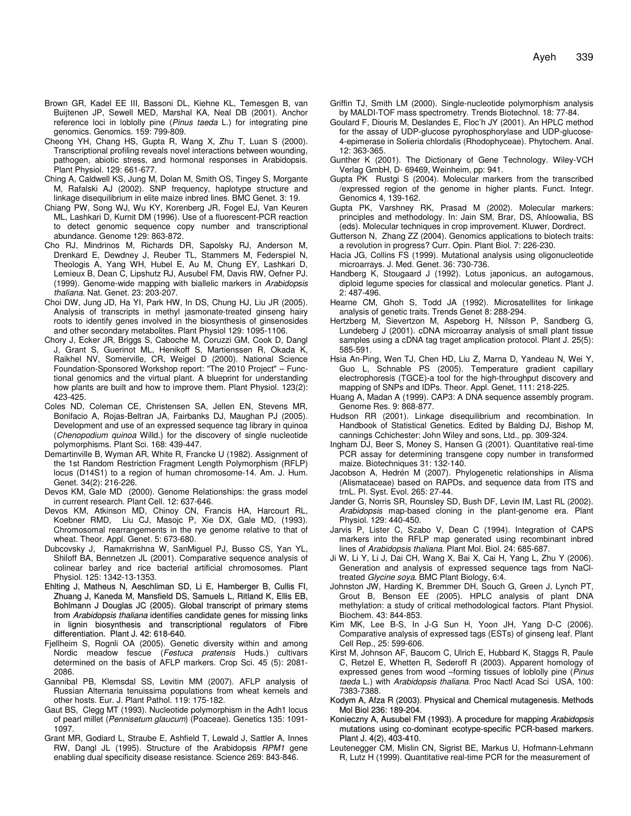- Brown GR, Kadel EE III, Bassoni DL, Kiehne KL, Temesgen B, van Buijtenen JP, Sewell MED, Marshal KA, Neal DB (2001). Anchor reference loci in loblolly pine (*Pinus taeda* L.) for integrating pine genomics. Genomics. 159: 799-809.
- Cheong YH, Chang HS, Gupta R, Wang X, Zhu T, Luan S (2000). Transcriptional profiling reveals novel interactions between wounding, pathogen, abiotic stress, and hormonal responses in Arabidopsis. Plant Physiol. 129: 661-677.
- Ching A, Caldwell KS, Jung M, Dolan M, Smith OS, Tingey S, Morgante M, Rafalski AJ (2002). SNP frequency, haplotype structure and linkage disequilibrium in elite maize inbred lines. BMC Genet. 3: 19.
- Chiang PW, Song WJ, Wu KY, Korenberg JR, Fogel EJ, Van Keuren ML, Lashkari D, Kurnit DM (1996). Use of a fluorescent-PCR reaction to detect genomic sequence copy number and transcriptional abundance. Genome 129: 863-872.
- Cho RJ, Mindrinos M, Richards DR, Sapolsky RJ, Anderson M, Drenkard E, Dewdney J, Reuber TL, Stammers M, Federspiel N, Theologis A, Yang WH, Hubel E, Au M, Chung EY, Lashkari D, Lemieux B, Dean C, Lipshutz RJ, Ausubel FM, Davis RW, Oefner PJ. (1999). Genome-wide mapping with biallelic markers in *Arabidopsis thaliana*. Nat. Genet. 23: 203-207.
- Choi DW, Jung JD, Ha YI, Park HW, In DS, Chung HJ, Liu JR (2005). Analysis of transcripts in methyl jasmonate-treated ginseng hairy roots to identify genes involved in the biosynthesis of ginsenosides and other secondary metabolites. Plant Physiol 129: 1095-1106.
- Chory J, Ecker JR, Briggs S, Caboche M, Coruzzi GM, Cook D, Dangl J, Grant S, Guerinot ML, Henikoff S, Martienssen R, Okada K, Raikhel NV, Somerville, CR, Weigel D (2000). National Science Foundation-Sponsored Workshop report: "The 2010 Project" – Functional genomics and the virtual plant. A blueprint for understanding how plants are built and how to improve them. Plant Physiol. 123(2): 423-425.
- Coles ND, Coleman CE, Christensen SA, Jellen EN, Stevens MR, Bonifacio A, Rojas-Beltran JA, Fairbanks DJ, Maughan PJ (2005). Development and use of an expressed sequence tag library in quinoa (*Chenopodium quinoa* Willd.) for the discovery of single nucleotide polymorphisms. Plant Sci. 168: 439-447.
- Demartinville B, Wyman AR, White R, Francke U (1982). Assignment of the 1st Random Restriction Fragment Length Polymorphism (RFLP) locus (D14S1) to a region of human chromosome-14. Am. J. Hum. Genet. 34(2): 216-226.
- Devos KM, Gale MD (2000). Genome Relationships: the grass model in current research. Plant Cell. 12: 637-646.
- Devos KM, Atkinson MD, Chinoy CN, Francis HA, Harcourt RL, Koebner RMD, Liu CJ, Masojc P, Xie DX, Gale MD, (1993). Chromosomal rearrangements in the rye genome relative to that of wheat. Theor. Appl. Genet. 5: 673-680.
- Dubcovsky J, Ramakrrishna W, SanMiguel PJ, Busso CS, Yan YL, Shiloff BA, Bennetzen JL (2001). Comparative sequence analysis of colinear barley and rice bacterial artificial chromosomes. Plant Physiol. 125: 1342-13-1353.
- Ehlting J, Matheus N, Aeschliman SD, Li E, Hamberger B, Cullis FI, Zhuang J, Kaneda M, Mansfield DS, Samuels L, Ritland K, Ellis EB, Bohlmann J Douglas JC (2005). Global transcript of primary stems from *Arabidopsis thaliana* identifies candidate genes for missing links lignin biosynthesis and transcriptional regulators of Fibre differentiation. Plant J. 42: 618-640.
- Fjellheim S, Rognli OA (2005). Genetic diversity within and among Nordic meadow fescue (*Festuca pratensis* Huds.) cultivars determined on the basis of AFLP markers. Crop Sci. 45 (5): 2081- 2086.
- Gannibal PB, Klemsdal SS, Levitin MM (2007). AFLP analysis of Russian Alternaria tenuissima populations from wheat kernels and other hosts. Eur. J. Plant Pathol. 119: 175-182.
- Gaut BS, Clegg MT (1993). Nucleotide polymorphism in the Adh1 locus of pearl millet (*Pennisetum glaucum*) (Poaceae). Genetics 135: 1091- 1097.
- Grant MR, Godiard L, Straube E, Ashfield T, Lewald J, Sattler A, Innes RW, Dangl JL (1995). Structure of the Arabidopsis *RPM1* gene enabling dual specificity disease resistance. Science 269: 843-846.
- Griffin TJ, Smith LM (2000). Single-nucleotide polymorphism analysis by MALDI-TOF mass spectrometry. Trends Biotechnol. 18: 77-84.
- Goulard F, Diouris M, Deslandes E, Floc'h JY (2001). An HPLC method for the assay of UDP-glucose pyrophosphorylase and UDP-glucose-4-epimerase in Solieria chlordalis (Rhodophyceae). Phytochem. Anal. 12: 363-365.
- Gunther K (2001). The Dictionary of Gene Technology. Wiley-VCH Verlag GmbH, D- 69469, Weinheim, pp: 941.
- Gupta PK Rustgi S (2004). Molecular markers from the transcribed /expressed region of the genome in higher plants. Funct. Integr. Genomics 4, 139-162.
- Gupta PK, Varshney RK, Prasad M (2002). Molecular markers: principles and methodology. In: Jain SM, Brar, DS, Ahloowalia, BS (eds). Molecular techniques in crop improvement. Kluwer, Dordrect.
- Gutterson N, Zhang ZZ (2004). Genomics applications to biotech traits: a revolution in progress? Curr. Opin. Plant Biol. 7: 226-230.
- Hacia JG, Collins FS (1999). Mutational analysis using oligonucleotide microarrays. J. Med. Genet. 36: 730-736.
- Handberg K, Stougaard J (1992). Lotus japonicus, an autogamous, diploid legume species for classical and molecular genetics. Plant J. 2: 487-496.
- Hearne CM, Ghoh S, Todd JA (1992). Microsatellites for linkage analysis of genetic traits. Trends Genet 8: 288-294.
- Hertzberg M, Sievertzon M, Aspeborg H, Nilsson P, Sandberg G, Lundeberg J (2001). cDNA microarray analysis of small plant tissue samples using a cDNA tag traget amplication protocol. Plant J. 25(5): 585-591.
- Hsia An-Ping, Wen TJ, Chen HD, Liu Z, Marna D, Yandeau N, Wei Y, Guo L, Schnable PS (2005). Temperature gradient capillary electrophoresis (TGCE)-a tool for the high-throughput discovery and mapping of SNPs and IDPs. Theor. Appl. Genet, 111: 218-225.
- Huang A, Madan A (1999). CAP3: A DNA sequence assembly program. Genome Res. 9: 868-877.
- Hudson RR (2001). Linkage disequilibrium and recombination. In Handbook of Statistical Genetics. Edited by Balding DJ, Bishop M, cannings Cchichester: John Wiley and sons, Ltd., pp. 309-324.
- Ingham DJ, Beer S, Money S, Hansen G (2001). Quantitative real-time PCR assay for determining transgene copy number in transformed maize. Biotechniques 31: 132-140.
- Jacobson A, Hedrén M (2007). Phylogenetic relationships in Alisma (Alismataceae) based on RAPDs, and sequence data from ITS and trnL. Pl. Syst. Evol. 265: 27-44.
- Jander G, Norris SR, Rounsley SD, Bush DF, Levin IM, Last RL (2002). *Arabidopsis* map-based cloning in the plant-genome era. Plant Physiol. 129: 440-450.
- Jarvis P, Lister C, Szabo V, Dean C (1994). Integration of CAPS markers into the RFLP map generated using recombinant inbred lines of *Arabidopsis thaliana*. Plant Mol. Biol. 24: 685-687.
- Ji W, Li Y, Li J, Dai CH, Wang X, Bai X, Cai H, Yang L, Zhu Y (2006). Generation and analysis of expressed sequence tags from NaCltreated *Glycine soya*. BMC Plant Biology, 6:4.
- Johnston JW, Harding K, Bremmer DH, Souch G, Green J, Lynch PT, Grout B, Benson EE (2005). HPLC analysis of plant DNA methylation: a study of critical methodological factors. Plant Physiol. Biochem. 43: 844-853.
- Kim MK, Lee B-S, In J-G Sun H, Yoon JH, Yang D-C (2006). Comparative analysis of expressed tags (ESTs) of ginseng leaf. Plant Cell Rep., 25: 599-606.
- Kirst M, Johnson AF, Baucom C, Ulrich E, Hubbard K, Staggs R, Paule C, Retzel E, Whetten R, Sederoff R (2003). Apparent homology of expressed genes from wood –forming tissues of loblolly pine (*Pinus taeda* L.) with *Arabidopsis thaliana*. Proc Nactl Acad Sci USA, 100: 7383-7388.
- Kodym A, Afza R (2003). Physical and Chemical mutagenesis. Methods Mol Biol 236: 189-204.
- Konieczny A, Ausubel FM (1993). A procedure for mapping *Arabidopsis* mutations using co-dominant ecotype-specific PCR-based markers. Plant J. 4(2), 403-410.
- Leutenegger CM, Mislin CN, Sigrist BE, Markus U, Hofmann-Lehmann R, Lutz H (1999). Quantitative real-time PCR for the measurement of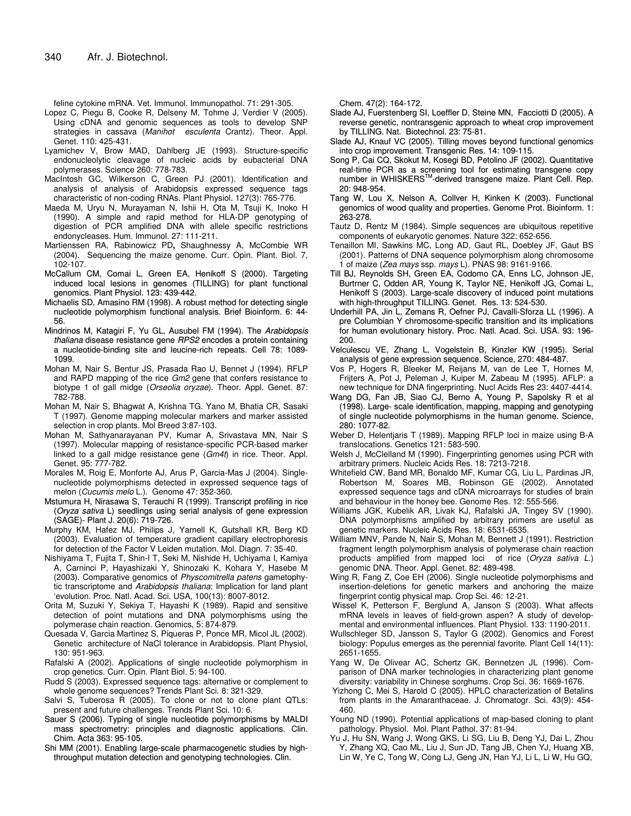feline cytokine mRNA. Vet. Immunol. Immunopathol. 71: 291-305.

- Lopez C, Piegu B, Cooke R, Delseny M, Tohme J, Verdier V (2005). Using cDNA and genomic sequences as tools to develop SNP strategies in cassava (*Manihot esculenta* Crantz). Theor. Appl. Genet. 110: 425-431.
- Lyamichev V, Brow MAD, Dahlberg JE (1993). Structure-specific endonucleolytic cleavage of nucleic acids by eubacterial DNA polymerases*.* Science 260: 778-783.
- MacIntosh GC, Wilkerson C, Green PJ (2001). Identification and analysis of analysis of Arabidopsis expressed sequence tags characteristic of non-coding RNAs. Plant Physiol. 127(3): 765-776.
- Maeda M, Uryu N, Murayaman N, Ishii H, Ota M, Tsuji K, Inoko H (1990). A simple and rapid method for HLA-DP genotyping of digestion of PCR amplified DNA with allele specific restrictions endonycleases. Hum. Immunol. 27: 111-211.
- Martienssen RA, Rabinowicz PD**,** Shaughnessy A, McCombie WR (2004). Sequencing the maize genome. Curr. Opin. Plant. Biol. 7, 102-107.
- McCallum CM, Comai L, Green EA, Henikoff S (2000). Targeting induced local lesions in genomes (TILLING) for plant functional genomics. Plant Physiol. 123: 439-442.
- Michaelis SD, Amasino RM (1998). A robust method for detecting single nucleotide polymorphism functional analysis. Brief Bioinform. 6: 44- 56.
- Mindrinos M, Katagiri F, Yu GL, Ausubel FM (1994). The *Arabidopsis thaliana* disease resistance gene *RPS2* encodes a protein containing a nucleotide-binding site and leucine-rich repeats. Cell 78: 1089- 1099.
- Mohan M, Nair S, Bentur JS, Prasada Rao U, Bennet J (1994). RFLP and RAPD mapping of the rice *Gm2* gene that confers resistance to biotype 1 of gall midge (*Orseolia oryzae*). Theor. Appl. Genet. 87: 782-788.
- Mohan M, Nair S, Bhagwat A, Krishna TG. Yano M, Bhatia CR, Sasaki T (1997). Genome mapping molecular markers and marker assisted selection in crop plants. Mol Breed 3:87-103.
- Mohan M, Sathyanarayanan PV, Kumar A, Srivastava MN, Nair S (1997). Molecular mapping of resistance-specific PCR-based marker linked to a gall midge resistance gene (*Gm4t*) in rice. Theor. Appl. Genet. 95: 777-782.
- Morales M, Roig E, Monforte AJ, Arus P, Garcia-Mas J (2004). Singlenucleotide polymorphisms detected in expressed sequence tags of melon (*Cucumis melo* L.). Genome 47: 352-360.
- Mstumura H, Nirasawa S, Terauchi R (1999). Transcript profiling in rice (*Oryza sativa* L) seedlings using serial analysis of gene expression (SAGE)- Plant J. 20(6): 719-726.
- Murphy KM, Hafez MJ, Philips J, Yarnell K, Gutshall KR, Berg KD (2003). Evaluation of temperature gradient capillary electrophoresis for detection of the Factor V Leiden mutation. Mol. Diagn. 7: 35-40.
- Nishiyama T, Fujita T, Shin-I T, Seki M, Nishide H, Uchiyama I, Kamiya A, Carninci P, Hayashizaki Y, Shinozaki K, Kohara Y, Hasebe M (2003). Comparative genomics of *Physcomitrella patens* gametophytic transcriptome and *Arabidopsis thaliana*: Implication for land plant 'evolution. Proc. Natl. Acad. Sci. USA, 100(13): 8007-8012.
- Orita M, Suzuki Y, Sekiya T, Hayashi K (1989). Rapid and sensitive detection of point mutations and DNA polymorphisms using the polymerase chain reaction. Genomics, 5: 874-879.
- Quesada V, Garcia Martinez S, Piqueras P, Ponce MR, Micol JL (2002). Genetic architecture of NaCl tolerance in Arabidopsis. Plant Physiol, 130: 951-963.
- Rafalski A (2002). Applications of single nucleotide polymorphism in crop genetics. Curr. Opin. Plant Biol. 5: 94-100.
- Rudd S (2003). Expressed sequence tags: alternative or complement to whole genome sequences? Trends Plant Sci. 8: 321-329.
- Salvi S, Tuberosa R (2005). To clone or not to clone plant QTLs: present and future challenges. Trends Plant Sci. 10: 6.
- Sauer S (2006). Typing of single nucleotide polymorphisms by MALDI mass spectrometry: principles and diagnostic applications. Clin. Chim. Acta 363: 95-105.
- Shi MM (2001). Enabling large-scale pharmacogenetic studies by highthroughput mutation detection and genotyping technologies. Clin.

Chem. 47(2): 164-172.

- Slade AJ, Fuerstenberg SI, Loeffler D, Steine MN, Facciotti D (2005). A reverse genetic, nontransgenic approach to wheat crop improvement by TILLING. Nat. Biotechnol. 23: 75-81.
- Slade AJ, Knauf VC (2005). Tilling moves beyond functional genomics into crop improvement. Transgenic Res. 14: 109-115.
- Song P, Cai CQ, Skokut M, Kosegi BD, Petolino JF (2002). Quantitative real-time PCR as a screening tool for estimating transgene copy number in WHISKERS<sup>™</sup>-derived transgene maize. Plant Cell. Rep. 20: 948-954.
- Tang W, Lou X, Nelson A, Collver H, Kinken K (2003). Functional genomics of wood quality and properties. Genome Prot. Bioinform. 1: 263-278.
- Tautz D, Rentz M (1984). Simple sequences are ubiquitous repetitive components of eukaryotic genomes. Nature 322: 652-656.
- Tenaillon MI, Sawkins MC, Long AD, Gaut RL, Doebley JF, Gaut BS (2001). Patterns of DNA sequence polymorphism along chromosome 1 of maize (*Zea mays* ssp. *mays* L). PNAS 98: 9161-9166.
- Till BJ, Reynolds SH, Green EA, Codomo CA, Enns LC, Johnson JE, Burtrner C, Odden AR, Young K, Taylor NE, Henikoff JG, Comai L, Henikoff S (2003). Large-scale discovery of induced point mutations with high-throughput TILLING. Genet. Res. 13: 524-530.
- Underhill PA, Jin L, Zemans R, Oefner PJ, Cavalli-Sforza LL (1996). A pre Columbian Y chromosome-specific transition and its implications for human evolutionary history. Proc. Natl. Acad. Sci. USA. 93: 196- 200.
- Velculescu VE, Zhang L, Vogelstein B, Kinzler KW (1995). Serial analysis of gene expression sequence. Science, 270: 484-487.
- Vos P, Hogers R, Bleeker M, Reijans M, van de Lee T, Hornes M, Frijters A, Pot J, Peleman J, Kuiper M, Zabeau M (1995). AFLP: a new technique for DNA fingerprinting. Nucl Acids Res 23: 4407-4414.
- Wang DG, Fan JB, Siao CJ, Berno A, Young P, Sapolsky R et al (1998). Large- scale identification, mapping, mapping and genotyping of single nucleotide polymorphisms in the human genome. Science, 280: 1077-82.
- Weber D, Helentjaris T (1989). Mapping RFLP loci in maize using B-A translocations. Genetics 121: 583-590.
- Welsh J, McClelland M (1990). Fingerprinting genomes using PCR with arbitrary primers. Nucleic Acids Res. 18: 7213-7218.
- Whitefield CW, Band MR, Bonaldo MF, Kumar CG, Liu L, Pardinas JR, Robertson M, Soares MB, Robinson GE (2002). Annotated expressed sequence tags and cDNA microarrays for studies of brain and behaviour in the honey bee. Genome Res. 12: 555-566.
- Williams JGK, Kubelik AR, Livak KJ, Rafalski JA, Tingey SV (1990). DNA polymorphisms amplified by arbitrary primers are useful as genetic markers. Nucleic Acids Res*.* 18: 6531-6535.
- William MNV, Pande N, Nair S, Mohan M, Bennett J (1991). Restriction fragment length polymorphism analysis of polymerase chain reaction products amplified from mapped loci of rice (*Oryza sativa L*.) genomic DNA. Theor. Appl. Genet. 82: 489-498.
- Wing R, Fang Z, Coe EH (2006). Single nucleotide polymorphisms and insertion-deletions for genetic markers and anchoring the maize fingerprint contig physical map. Crop Sci. 46: 12-21.
- Wissel K, Petterson F, Berglund A, Janson S (2003). What affects mRNA levels in leaves of field-grown aspen? A study of developmental and environmental influences. Plant Physiol. 133: 1190-2011.
- Wullschleger SD, Jansson S, Taylor G (2002). Genomics and Forest biology: Populus emerges as the perennial favorite. Plant Cell 14(11): 2651-1655.
- Yang W, De Olivear AC, Schertz GK, Bennetzen JL (1996). Comparison of DNA marker technologies in characterizing plant genome diversity: variability in Chinese sorghums. Crop Sci. 36: 1669-1676.
- Yizhong C, Mei S, Harold C (2005). HPLC characterization of Betalins from plants in the Amaranthaceae. J. Chromatogr. Sci. 43(9): 454- 460.
- Young ND (1990). Potential applications of map-based cloning to plant pathology. Physiol. Mol. Plant Pathol. 37: 81-94.
- Yu J, Hu SN, Wang J, Wong GKS, Li SG, Liu B, Deng YJ, Dai L, Zhou Y, Zhang XQ, Cao ML, Liu J, Sun JD, Tang JB, Chen YJ, Huang XB, Lin W, Ye C, Tong W, Cong LJ, Geng JN, Han YJ, Li L, Li W, Hu GQ,